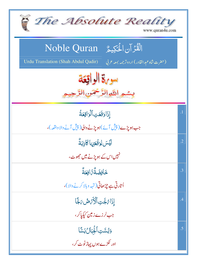| The Absolute Reality<br>www.quran4u.com                                                                                          |                 |
|----------------------------------------------------------------------------------------------------------------------------------|-----------------|
| الْقُرْآنِ الْحَكِيمُ ِ Noble Quran<br>(حضرت شاه عبد القادر) اردوتر <i>جمه بمعه ع</i> ربي<br>Urdu Translation (Shah Abdul Qadir) |                 |
| سوبرة الواقعة<br>بِسْمِ اللَّهِ الرَّحْمَنِ الرَّ                                                                                |                 |
| إذَاوَقَعَتِ ٱلْوَاقِعَةُ                                                                                                        | $\overline{.1}$ |
| جب ہوپڑے (پیش آئے) ہوپڑنے والی(پیش آنے والا واقعہ )،                                                                             |                 |
| لِيَسَ لِوَقَعَتِهَا كَاذِبَةٌ                                                                                                   | $\cdot$ .2      |
| نہیں <sub>اس کے</sub> ہو پڑنے میں حجھوٹ،                                                                                         |                 |
| ڂ <b>ۘ</b> ٳڣۻؘڡۨٞ؆ٳڣػ <sup>ۣ</sup>                                                                                              | .3              |
| اُتارتی ہے چڑھاتی( تہہ دبالا کرنے والا)،                                                                                         |                 |
| إِذَا مُجَّتِ ٱلْأَنَّ ضُ بَجَّا                                                                                                 | .4              |
| جب لرزے زمین کپکیاکر،                                                                                                            |                 |
| وَبُسَّتِ أَلْجِبَالُ بَسَّا                                                                                                     | .5              |
| اور ٹکڑے ہوں پہاڑ ٹوٹ کر،                                                                                                        |                 |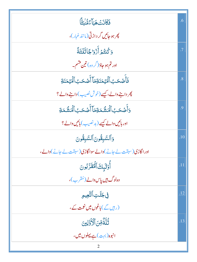| فَكَانَتْ هَيَآءً مُّنْيَةً)                             | .6              |
|----------------------------------------------------------|-----------------|
| <i>پھر ہو جائیں گر د</i> اڑتی(مانند غبار)،               |                 |
| وَكُنتُمُ أَزْوَاجًا ثَلَثَةً                            | .7              |
| اور تم ہو جاؤ( <sup>گر</sup> وہ) تین قسم۔                |                 |
| فَأَصۡكَبُ ٱلۡۡيَٰٓمَنَآةِمَاۤاۡأَصۡكَبُ ٱلۡۡيَٰٓمَنَآةِ | $\overline{.8}$ |
| چر داہنے والے، کیسے (خوش نصیب) داہنے والے؟               |                 |
| <u>و</u> َأَصۡحَبُٱلۡمَشۡمَةِمَاۤأَصۡحَبُٱلۡمَشۡمَةِ     | .9              |
| اور ہائیں والے کیسے (پد نصیب ) ہائیں والے ؟              |                 |
| وَٱلسَّبِقُونَ ٱلسَّبِقُونَ                              | .10             |
| اور اگاڑی(سبقت لے جانے)والے سواگاڑی(سبقت لے جانے)والے،   |                 |
| أُوَلَبْكَ أَهُقَرَّبُونَ                                | .11             |
| وہ <sup>ل</sup> وگ ہیں پاس دالے (مُقرب)،                 |                 |
| في جَنَّتِ التَّعِيمِ                                    | .12             |
| (رب <sub>ی</sub> ں گے) باغوں میں نعمت کے،                |                 |
| ثُلَّةٌ مِّنَ ٱلْأَوَّلِينَ                              | .13             |
| انبوہ(بہ <sub>ت</sub> )ہے پہلوں میں،                     |                 |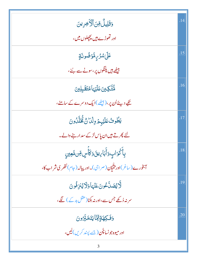| <b>وَقَلِيلٌ مِّنَ ٱلْأَخِرِينَ</b>                          | .14 |
|--------------------------------------------------------------|-----|
| اور تھوڑے ہیں پچچلوں میں،                                    |     |
| عَلَىٰ <i>شُرُّ بِ</i> مَّوۡضُونَةٍ                          | .15 |
| بیٹھے ہیں پکنگوں پر، سونے سے بُنے،                           |     |
| ۜڡ۠ <i>ؾ۠ؖڲ</i> ؾ <i>ؾ</i> ڡؘڶؽ <sub>ٙ</sub> ؠٵۿؾٙڦٙۜڹؚڸؾ    | .16 |
| تکیے دیئے اُن پر،(پیٹھے )ایک دوسرے کے سامنے،                 |     |
| يَطُوبُ عَلَيْهِمْ وِلْدَانٌ ثَّخَلَّدُونَ                   | .17 |
| لئے پھرتے ہیں ان پاس لڑکے سد ارجے والے۔                      |     |
| بِأَكۡوَابٍ وَأَبَاءِينَوَكَأَسٍ مِّن مَّعِينِ               | .18 |
| آبخورے(ساغر)اور تنتیان(صراحی)۔اور پیالہ (جام) نتھری شراب کا، |     |
| لَّايْصَلَّكُونَ عَنْهَا وَلَايُنزِفُونَ                     | .19 |
| سر نہ ڈ کھے جس سے،اور نہ بکنا(عقل بد کے ) لگے،               |     |
| <u>وَفَكِهَةٍ مِّتَايَتَخَبَّرُونَ</u>                       | .20 |
| اور میوه جونساچُن (جسے پیند کریں)لیں،                        |     |
|                                                              |     |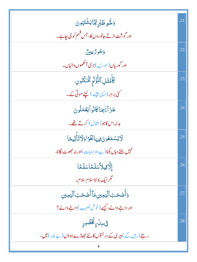| وَلَحَمِ طَبْرِ مِّتَايَشْتَهُونَ                              | .21 |
|----------------------------------------------------------------|-----|
| اور گوشت اڑتے جانوروں کا، جس قسِم کو جی جاہے۔                  |     |
| وَكُوِرٌ عِينٌ                                                 | .22 |
| اور گوریاں (حوریں) بڑی آنکھوں والباں۔                          |     |
| كَأْمَثَلِ ٱللَّٰؤُلُوِ ٱلۡمَكۡنُونِ                           | .23 |
| کئی برابر (ایپی جیسے ) لیٹے موتی کے۔                           |     |
| جَزَآءَٰ بِمَاكَانُواْيَعُمَلُونَ                              | .24 |
| بدلہ اس کاجو (اٹمال) کرتے تھے۔                                 |     |
| لايَسْمَعُونَ فِيهَالْغَوَّا وَلَاتَأَثِيمًا                   | .25 |
| نہیں سنتے وہاں بکنا( بے ہو دہ بات)اور نہ حج <i>م</i> وٹ لگانا، |     |
| إلَّاقِيلاًسَلَمَّاسَلَمَّا                                    | .26 |
| گرایک بولناسلام سلام۔                                          |     |
| وَأَصۡحَبُٱلۡيَمِينِمَاۤأَصۡحَبُٱلۡيَمِينِ                     | .27 |
| اور داہنے والے، کیسے (خوش نصیب) داہنے والے؟                    |     |
| ڣۣڛڷؘ؆ۣڴۘڂٛڞ۠ۅڋٟ                                               | .28 |
| ر بتے (رہیں گے ) ہیری کے درختوں کانج جھاڑے ہوؤں (بے خار) میں،  |     |
|                                                                |     |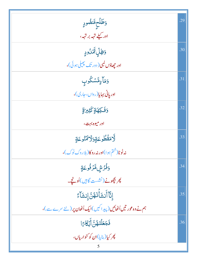| وَطَلَحِمَّنْضُودٍ                                              | .29 |
|-----------------------------------------------------------------|-----|
| ادر کیلے تہہ بر تہہ،                                            |     |
| <b>وَظِلِّ لَ</b> ِّمَٰنُودٍ                                    | .30 |
| اور جِھاؤں کمبی( دور تک بچیلی ہوئی)،                            |     |
| وَمَأْءٍمَّسْكُوبِ                                              | .31 |
| اوریانی بہایا(رواں،جاری)،                                       |     |
| وَفَكِهَةٍ كَثِيرَةٍ                                            | .32 |
| اور ميوه بهت،                                                   |     |
| لأمَقَطُوعَةٍوَلَا أَمَنُوعَةٍ                                  | .33 |
| نەڭوڻا(ختم ہوا)اور نەروكا(بلاردك ٹوك)،                          |     |
| <u>وَفُرُشِ</u> مَّرُفُوعَةٍ                                    | .34 |
| ي <i>گرېچونے (نشست گان</i> يں)اُونچے۔                           |     |
| ٳڹۜۜٲٲؘڹۺؘٲؙٛٮٙۿڽؖٳ۪ڹۺؘٳٙۦٞ                                     | .35 |
| ہم نے وہ عور تیں اُٹھائیں (پیداکیں)ایک اُٹھان پر (نئے سرے سے )، |     |
| فَجَعَلْنَهُنَّ أَبُكَارًا                                      | .36 |
| پھر کیا(بنایا)ان کو کنواریاں،                                   |     |
|                                                                 |     |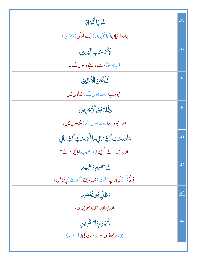| ڠۯ <sup>ڰ</sup> ۪ٲٲٞڎڗٳڲؘٳ                                                       | .37 |
|----------------------------------------------------------------------------------|-----|
| پيار دلاتياں (عاشق زار)ايک عمر کی (ہم بن)،                                       |     |
| <b>ؚڒ</b> ؘ۠ػٙٮٙػٮ۪ٲڷؾڡؚؾڹ                                                       | .38 |
| (پہ ہو گا)واسطے داہنے والوں کے۔                                                  |     |
| ثُلَّةٌ مِّنَ ٱلْأَوَّلِينَ                                                      | .39 |
| انبوہ ہے(بہت ہوں گے) پہلوں میں                                                   |     |
| وَثُلِّةٌ مِّنَ ٱلْأَخِرِينَ                                                     | .40 |
| اورانبوہ ہے( بہت ہوں گے ) پچھلوں میں،                                            |     |
| وَأَصۡحَبُ ٱلشِّمَالِمَاۤ أَصۡحَبُ ٱلشِّمَالِ                                    | .41 |
| اور بائیں والے۔ کیسے (بد نصیب) بائیں والے؟                                       |     |
| في <sup>س</sup> َمُومٍ وَ <del>حَ</del> مِيمٍ                                    | .42 |
| آچُ (لُو) کی بھاپ (لپ <sub>ٹ</sub> ) <b>میں، جلتے</b> (کھولتے ) <b>یانی میں،</b> |     |
| <b>ۯڟؚڸۨ</b> ڡؚۜ۠ڽڲؘۼ۠ۮۄٟ                                                        | .43 |
| اور جھاؤں میں د ھوئیں گی،                                                        |     |
| <u>لَ</u> ّاب <i>َابِ</i> دٍوَلَا كَرِيمٍ                                        | .44 |
| (جو)نه ٹھنڈ کیااور نہ عزت کی (آرام دہ)۔<br>6                                     |     |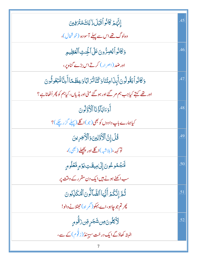| إِنَّهُمْ كَانُواْقَبْلَ ذَٰ لِكَ مُتَرَفِينَ                                           | .45 |
|-----------------------------------------------------------------------------------------|-----|
| وہلوگ تھےاس سے پہلے آسودہ (خوشحال)،                                                     |     |
| وَكَانُواْ يُصِرُّونَ عَلَى الْخِنثِ الْعَظِيمِ                                         | .46 |
| اور ضد (اصرار) کرتے اس بڑے گناہ پر،                                                     |     |
| وَكَانُواً يَقُولُونَ أَبِذَامِتْنَاوَكُنَّاتُرَ ابَّاوَعِظَمَّا أَءِنَّالَمَبْعُوثُونَ | .47 |
| اور تھے کہتے کیاجب ہم مر گئے اور ہو گئے مٹی اور ہڈیاں، کیاہم کو پھر اُٹھاناہے؟          |     |
| أَوَءَابَأَؤُنَا ٱلْأَوَّلُونَ                                                          | .48 |
| کیاہمارے باپ دادوں کو بھی(جو)اگلے (پہلے گزرچکے )؟                                       |     |
| قُلْ إِنَّ ٱلْأَوَّلِينَ وَٱلْأَخِرِينَ                                                 | .49 |
| تو <sub>کهه</sub> ،(ب <sub>لاشبه</sub> )اگلے اور پچھلے ( <sup>بھ</sup> ی)،              |     |
| ڶٙٲۻۘۧػٛۅڠ۠ۏڹؘٳۣڸٙٳڡؚؠڠؘٮؾؚڮۯٙڡڔۣڡٞۼڶۅڡۭ                                                | .50 |
| سب اکھٹے ہونے ہیں ایک دن مقرر کے وقت پر                                                 |     |
| ثُمَّ إِنَّكُمۡ أَيُّهَا ٱلضَّاَلُّونَ ٱلۡٱكَٰٓلِّٰٓابُونَ                              | .51 |
| پھرتم جو چاہو،اے بہکو(گمر اہ)حھٹلانے والو!                                              |     |
| ٳۜؖٚٲڮڶۅڹؘڝۺؘڿڔۣڡؚڹۯۊٚۨ۬ۅۄٟ                                                             | .52 |
| البتہ کھاؤگے ایک درخت سیہنڈ (زقُّوم)کے سے،                                              |     |
|                                                                                         |     |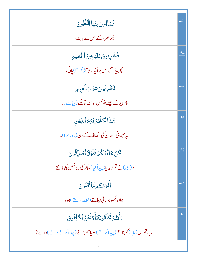| فَمَالِونَ مِنْهَا ٱلْبُطُونَ                                        | .53 |
|----------------------------------------------------------------------|-----|
| پھر بھر وگے اس سے پہی <sup>بی ،</sup>                                |     |
| فَشَرِبُونَعَلَيْهِمِنَٱلْحَمِيمِ                                    | .54 |
| پھر پیؤگے اس پر ایک <i>ج</i> لتا( کھولتا) یانی،                      |     |
| فَشَرِبُونَشُرُبَ ٱلْهِيمِ                                           | .55 |
| پھر پہوَ گے جیسے پیٹیں اونٹ تونسے (پیاسے )۔                          |     |
| هَذَا نُزُهُّمُ يَوۡمَ ٱللِّي                                        | .56 |
| بیہ مہمانی ہے ان کی انصاف کے دن (روز جزا)۔                           |     |
| تَحَنْ خَلَقْنَكُمْ فَلَوْلَاتُهَبِّلُّوُنَ                          | .57 |
| ہم(ہی)نے تم کو بنایا(پیدا کیا)، پھر کیوں نہیں بیچ مانتے۔             |     |
| أَفَرَءَيْتُمِ مَّاأَثْمَنُونَ                                       | .58 |
| بھلادىكھوجويانى ٹ <u>ي</u> كاتے (نطفہ ڈالتے )ہو،                     |     |
| ءَأَنتُمُ تَخَلُقُونَهُ أَمْرَ نَحْنُ ٱلْحَلِقُونَ                   | .59 |
| اب تم اس (بچه) کوبناتے (پیداکرتے) ہویاہم بنانے (پیداکرنے والے) والے؟ |     |
| 8                                                                    |     |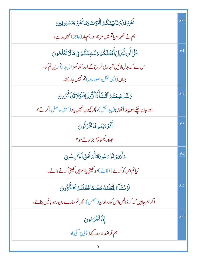| تَخَنْ قَلَّمَ نَأْبَيْنَكُمُ ٱلْمَوْتَ وَمَا نَخَنْ بِمَسْبُوقِينَ                                  | .60 |
|------------------------------------------------------------------------------------------------------|-----|
| ہم نے تھُہر ادیاتم میں مرنا،اور ہم ہار (عاجز) نہیں رہے،                                              |     |
| عَلَىٰٓأَن شُّبِّلِّلَ أَمۡقَلَكُمۡ وَنُنۡشِئَكُمۡ فِى مَالَاتَعۡلَمُونَ                             | .61 |
| اس سے کہ بدل لائیں تمہاری طرح کے اور اُٹھاکھڑ ا $(\vec{\varkappa} \cup \vec{\varkappa})$ کریں تم کو، |     |
| جہاں (این شکل وصورت) تم نہیں جانتے۔                                                                  |     |
| وَلَقَلْ عَلِمۡتُمُ ٱلنَّشۡأَةَٱلۡأُولَىٰفَلَوۡلَاتَنَ كَّرُونَ                                      | .62 |
| اور جان چکے ہو پہلااُٹھان(پیدائش)، پھر کیوں نہیں یاد (سبق حاصل) کرتے؟                                |     |
| أَفَرَءَيْتُمِ مَّاتَّخَرُثُونَ                                                                      | .63 |
| بھلاد يھوتو! جو بو <u>ٽ</u> ہو؟                                                                      |     |
| ٤َأَنتُمۡ تَزۡىَكُونَكُمۡأَمۡ نَحۡنُ ٱلنَّاسِكُونَ                                                   | .64 |
| کیاتم اس کوکرتے (اگاپے )ہو کھیتی یاہم ہیں کھیتی کرنے والے۔                                           |     |
| لَوۡنَشَآءُ لَجَعَلَّنَهُ حُطَمًا فَظَلَّقُوۡ تَفَكُّهُونَ                                           | .65 |
| اگر ہم جاہیں کہ کر ڈالیں اس کوروندن (نجس)، پھر تم سارے دن رہو با تیں بناتے،                          |     |
| إنَّالْهُغْرَهُونَ                                                                                   | .66 |
| ہم قرضد ار رہ گئے ( چٹی پڑ گئی)،                                                                     |     |
| 9                                                                                                    |     |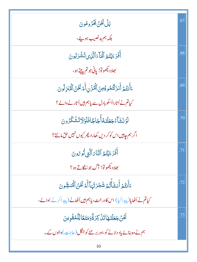| بَلْ نَحْنُ لِحَرُوهُونَ                                                              | .67 |
|---------------------------------------------------------------------------------------|-----|
| بلکہ ہم بدنصیب ہوئے،                                                                  |     |
| أَفَرَءَيْتُمُ ٱلۡمَآءَٱلَّٰٓنِىٰٓتَشۡرَبُونَ                                         | .68 |
| بھلاديڪھوتو! ياني جو تم پيتے ہو،                                                      |     |
| ءَأَنتُمۡ أَنزَلۡتُمُوءُ مِنَ ٱلۡمُزۡنِ أَمۡ نَحۡنُ ٱلۡمُنزِلُونَ                     | .69 |
| کیاتم نے اُتارااُسکو بادل سے پاہم ہیں اُتار نے دالے ؟                                 |     |
| ڶٙۉٙٮؘۺؘآء۠جؘعَلۡتَـهُٲ۠ؗجَاجَٓافَلَوۡلَاتَشۡكُرُونَ                                  | .70 |
| اگر ہم چاہیں اس کو کر دیں کھارا، پھر کیوں نہیں حق مانتے؟                              |     |
| أَفَرَءَيۡتُمُ ٱلتَّاَىَ ٱلَّتِي نُوصُونَ                                             | .71 |
| بھلادیکھوتو! آگ جوسُلگاتے ہو؟                                                         |     |
| ءَأَنتُهُم <sup>9</sup> أَنشَأَّتُهُ شَجَرَتَهَا أَمَ <sup>ن</sup> َكُنُّ الْمُنشُونَ | .72 |
| کیاتم نے اُٹھایا(پیداکیا) اس کادر خت، پاہم ہیں اُٹھانے (پیداکرنے)والے،                |     |
| نَّحْنُ جَعَلْنَهَاتَنْ كِرَةَّوَمَتَعَالِّلْمُقُوينَ                                 | .73 |
| ہم نے وہ بنائے یاد دلانے کو،اور بر ینے کو جنگل (حاجت )والوں کے۔                       |     |
| 10                                                                                    |     |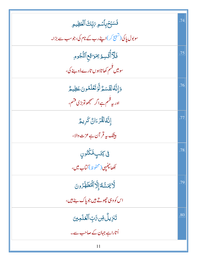|                                                     | .74 |
|-----------------------------------------------------|-----|
| فَسَبِّحْبِٱسْمِ 7بِّكَ ٱلۡعَظِيمِ                  |     |
| سوبول پاکی (تسبیح کر)اپنے رب کے نام کی،جوسب سے بڑا۔ |     |
| فَلَآأْتُسِمُ بِمَرَاقِعِ ٱلنُّجُومِ                | .75 |
| سومیں قسم کھاتاہوں تارے ڈو بنے کی،                  |     |
| دَإِنَّهُ لَقَسَمٌ لَّوَتَعَلَّمُونَ عَظِيمٌ        | .76 |
| اور یہ قسم ہے اگر سمجھوتوبڑی قشم،                   |     |
| إِنَّهُ لَقُرْءَانٌ كَرِيمٌ                         | .77 |
| بیٹک پی <b>قر آن ہے عزت دال</b> ا،                  |     |
| ڣۣػؚؿٙٮؚؚۣڡٞڬٞٮ۠ٛۏڹۣ                                | .78 |
| لِكِھاچھُيں(محفوظ) <i>ك</i> تاب ميں،                |     |
| <b>لَّا يَمَسُّمُٓ</b> ٓ إِلَّا ٱلۡمُطَهَّرُونَ     | .79 |
| اس کووہی ح <u>چوتے ہیں جو پا</u> ک ہنے ہیں،         |     |
| ڗ <i>ٙ</i> ڹڒٟؠڵ۠ <i>ۊڹ؆ۊ</i> ۪ٵڶ <i>ٙڂ</i> ڶڝؿ     | .80 |
| اُتاراہے جہان کے صاحب سے۔                           |     |
|                                                     |     |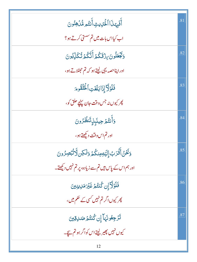| أَفَبِهَذَا ٱلْحَلِيثِ أَنتُم مُّدۡكِنُونَ                    | .81 |
|---------------------------------------------------------------|-----|
| اب کیااس بات میں تم سستی کرتے ہو؟                             |     |
| <u>و</u> َتَجْعَلُونَ بِنْ قَكُمْ أَنَّكُمْ تُكَلِّبُونَ      | .82 |
| اور اپناحصہ یہی لیتے ہو کہ تم حٖطاتے ہو،                      |     |
| فَلَوْلَا إِذَابَلَغَتِ ٱلْحُلْقُومَ                          | .83 |
| پھر کیوں نہ جس وقت جان پہن <u>چ</u> حلق کو،                   |     |
| وَأَنتُمۡ حِينَبِيۡ تَنظُرُونَ                                | .84 |
| اور تم اس وقت دی <u>گھتے</u> ہو،                              |     |
| وَنَحَنُ أَقَّرَبُ إِلَيَّهِ مِنكُمُ وَلَكِن لَّا تُبْصِرُونَ | .85 |
| اور ہم اس کے پاس ہیں تم سے زیادہ، پر تم نہیں دیکھتے۔          |     |
| فَلَوۡلَآٓ إِن كُنتُمۡ غَيۡرَمَلِاينِينَ                      | .86 |
| پھر کیوں اگر تم نہیں <i>کسی کے حکم</i> میں ،                  |     |
| تَزَجِعُونَهَآ إِن كُنتُمۡ صَلاِقِينَ                         | .87 |
| کیوں نہیں پھیر لیتے اس کواگر ہو تم سچے۔                       |     |
| 12                                                            |     |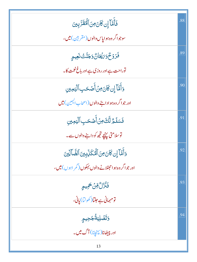| فَأَمَّآ إِن كَانَ مِنَ ٱلۡفَقَرَّ بِينَ                              | .88 |
|-----------------------------------------------------------------------|-----|
| سوجواگر وه ہوایاس دالوں (مقربین) میں،                                 |     |
| فَرَوۡحٌوَىٰٓيۡكَانٌ وَجَنَّتُ نَعِيمِ                                | .89 |
| توراحت ہے اور روزی ہے اور باغ نعمت کا۔                                |     |
| وَأَمَّآ إِن كَانَ مِنۡ أَصۡحَبِ ٱلۡيَمِينِ                           | .90 |
| اور جواگر وہ ہوادا ہنے والوں (اصحاب ا <sup>لیمی</sup> ین) <b>می</b> ں |     |
| فَسَلَمُّ لَّكَ مِنۡ أَصۡكَبِ ٱلۡيَمِينِ                              | .91 |
| توسلامتی پہنچے تجھ کو دانے والوں سے۔                                  |     |
| وَأَمَّآ إِن كَانَ مِنَ ٱلْمُكَزِّبِينَ ٱلضَّالِّينَ                  | .92 |
| اور جو اگر وہ ہو احھٹلانے والوں بہکوں (گمر اہوں ) میں ،               |     |
| فَنُزُلُّ وِّنْ حَمِيمٍ                                               | .93 |
| ۔<br>نومہمانی ہے جلتا(کھولتا) یانی،                                   |     |
| وَتَصۡلِيَةُۢ جَحِيمِ<br>اور پیِھَٰانا( پہۡفچانا) آگ میں۔             | .94 |
|                                                                       |     |
| 13                                                                    |     |